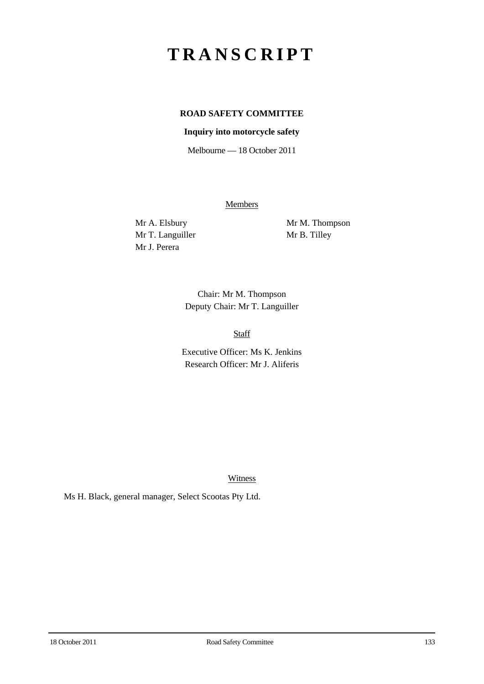# **TRANSCRIPT**

## **ROAD SAFETY COMMITTEE**

#### **Inquiry into motorcycle safety**

Melbourne — 18 October 2011

**Members** 

Mr T. Languiller Mr B. Tilley Mr J. Perera

Mr A. Elsbury Mr M. Thompson

Chair: Mr M. Thompson Deputy Chair: Mr T. Languiller

Staff

Executive Officer: Ms K. Jenkins Research Officer: Mr J. Aliferis

Witness

Ms H. Black, general manager, Select Scootas Pty Ltd.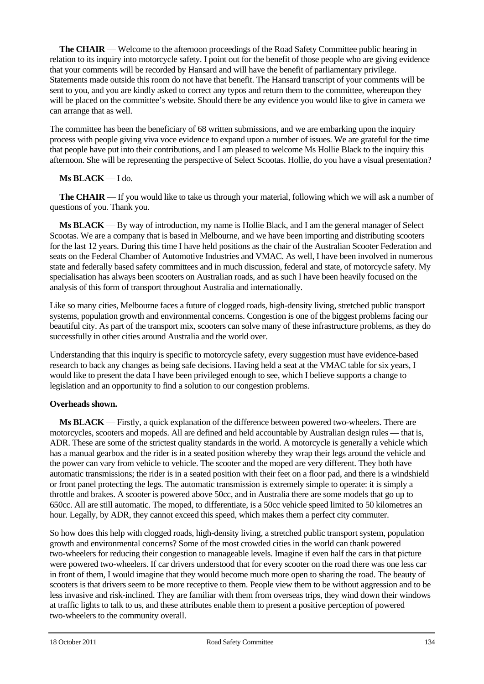**The CHAIR** — Welcome to the afternoon proceedings of the Road Safety Committee public hearing in relation to its inquiry into motorcycle safety. I point out for the benefit of those people who are giving evidence that your comments will be recorded by Hansard and will have the benefit of parliamentary privilege. Statements made outside this room do not have that benefit. The Hansard transcript of your comments will be sent to you, and you are kindly asked to correct any typos and return them to the committee, whereupon they will be placed on the committee's website. Should there be any evidence you would like to give in camera we can arrange that as well.

The committee has been the beneficiary of 68 written submissions, and we are embarking upon the inquiry process with people giving viva voce evidence to expand upon a number of issues. We are grateful for the time that people have put into their contributions, and I am pleased to welcome Ms Hollie Black to the inquiry this afternoon. She will be representing the perspective of Select Scootas. Hollie, do you have a visual presentation?

## **Ms BLACK** — I do.

**The CHAIR** — If you would like to take us through your material, following which we will ask a number of questions of you. Thank you.

**Ms BLACK** — By way of introduction, my name is Hollie Black, and I am the general manager of Select Scootas. We are a company that is based in Melbourne, and we have been importing and distributing scooters for the last 12 years. During this time I have held positions as the chair of the Australian Scooter Federation and seats on the Federal Chamber of Automotive Industries and VMAC. As well, I have been involved in numerous state and federally based safety committees and in much discussion, federal and state, of motorcycle safety. My specialisation has always been scooters on Australian roads, and as such I have been heavily focused on the analysis of this form of transport throughout Australia and internationally.

Like so many cities, Melbourne faces a future of clogged roads, high-density living, stretched public transport systems, population growth and environmental concerns. Congestion is one of the biggest problems facing our beautiful city. As part of the transport mix, scooters can solve many of these infrastructure problems, as they do successfully in other cities around Australia and the world over.

Understanding that this inquiry is specific to motorcycle safety, every suggestion must have evidence-based research to back any changes as being safe decisions. Having held a seat at the VMAC table for six years, I would like to present the data I have been privileged enough to see, which I believe supports a change to legislation and an opportunity to find a solution to our congestion problems.

### **Overheads shown.**

**Ms BLACK** — Firstly, a quick explanation of the difference between powered two-wheelers. There are motorcycles, scooters and mopeds. All are defined and held accountable by Australian design rules — that is, ADR. These are some of the strictest quality standards in the world. A motorcycle is generally a vehicle which has a manual gearbox and the rider is in a seated position whereby they wrap their legs around the vehicle and the power can vary from vehicle to vehicle. The scooter and the moped are very different. They both have automatic transmissions; the rider is in a seated position with their feet on a floor pad, and there is a windshield or front panel protecting the legs. The automatic transmission is extremely simple to operate: it is simply a throttle and brakes. A scooter is powered above 50cc, and in Australia there are some models that go up to 650cc. All are still automatic. The moped, to differentiate, is a 50cc vehicle speed limited to 50 kilometres an hour. Legally, by ADR, they cannot exceed this speed, which makes them a perfect city commuter.

So how does this help with clogged roads, high-density living, a stretched public transport system, population growth and environmental concerns? Some of the most crowded cities in the world can thank powered two-wheelers for reducing their congestion to manageable levels. Imagine if even half the cars in that picture were powered two-wheelers. If car drivers understood that for every scooter on the road there was one less car in front of them, I would imagine that they would become much more open to sharing the road. The beauty of scooters is that drivers seem to be more receptive to them. People view them to be without aggression and to be less invasive and risk-inclined. They are familiar with them from overseas trips, they wind down their windows at traffic lights to talk to us, and these attributes enable them to present a positive perception of powered two-wheelers to the community overall.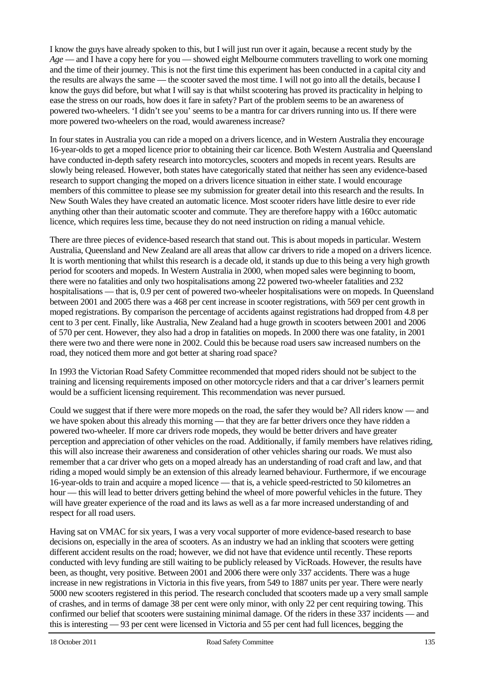I know the guys have already spoken to this, but I will just run over it again, because a recent study by the *Age* — and I have a copy here for you — showed eight Melbourne commuters travelling to work one morning and the time of their journey. This is not the first time this experiment has been conducted in a capital city and the results are always the same — the scooter saved the most time. I will not go into all the details, because I know the guys did before, but what I will say is that whilst scootering has proved its practicality in helping to ease the stress on our roads, how does it fare in safety? Part of the problem seems to be an awareness of powered two-wheelers. 'I didn't see you' seems to be a mantra for car drivers running into us. If there were more powered two-wheelers on the road, would awareness increase?

In four states in Australia you can ride a moped on a drivers licence, and in Western Australia they encourage 16-year-olds to get a moped licence prior to obtaining their car licence. Both Western Australia and Queensland have conducted in-depth safety research into motorcycles, scooters and mopeds in recent years. Results are slowly being released. However, both states have categorically stated that neither has seen any evidence-based research to support changing the moped on a drivers licence situation in either state. I would encourage members of this committee to please see my submission for greater detail into this research and the results. In New South Wales they have created an automatic licence. Most scooter riders have little desire to ever ride anything other than their automatic scooter and commute. They are therefore happy with a 160cc automatic licence, which requires less time, because they do not need instruction on riding a manual vehicle.

There are three pieces of evidence-based research that stand out. This is about mopeds in particular. Western Australia, Queensland and New Zealand are all areas that allow car drivers to ride a moped on a drivers licence. It is worth mentioning that whilst this research is a decade old, it stands up due to this being a very high growth period for scooters and mopeds. In Western Australia in 2000, when moped sales were beginning to boom, there were no fatalities and only two hospitalisations among 22 powered two-wheeler fatalities and 232 hospitalisations — that is, 0.9 per cent of powered two-wheeler hospitalisations were on mopeds. In Queensland between 2001 and 2005 there was a 468 per cent increase in scooter registrations, with 569 per cent growth in moped registrations. By comparison the percentage of accidents against registrations had dropped from 4.8 per cent to 3 per cent. Finally, like Australia, New Zealand had a huge growth in scooters between 2001 and 2006 of 570 per cent. However, they also had a drop in fatalities on mopeds. In 2000 there was one fatality, in 2001 there were two and there were none in 2002. Could this be because road users saw increased numbers on the road, they noticed them more and got better at sharing road space?

In 1993 the Victorian Road Safety Committee recommended that moped riders should not be subject to the training and licensing requirements imposed on other motorcycle riders and that a car driver's learners permit would be a sufficient licensing requirement. This recommendation was never pursued.

Could we suggest that if there were more mopeds on the road, the safer they would be? All riders know — and we have spoken about this already this morning — that they are far better drivers once they have ridden a powered two-wheeler. If more car drivers rode mopeds, they would be better drivers and have greater perception and appreciation of other vehicles on the road. Additionally, if family members have relatives riding, this will also increase their awareness and consideration of other vehicles sharing our roads. We must also remember that a car driver who gets on a moped already has an understanding of road craft and law, and that riding a moped would simply be an extension of this already learned behaviour. Furthermore, if we encourage 16-year-olds to train and acquire a moped licence — that is, a vehicle speed-restricted to 50 kilometres an hour — this will lead to better drivers getting behind the wheel of more powerful vehicles in the future. They will have greater experience of the road and its laws as well as a far more increased understanding of and respect for all road users.

Having sat on VMAC for six years, I was a very vocal supporter of more evidence-based research to base decisions on, especially in the area of scooters. As an industry we had an inkling that scooters were getting different accident results on the road; however, we did not have that evidence until recently. These reports conducted with levy funding are still waiting to be publicly released by VicRoads. However, the results have been, as thought, very positive. Between 2001 and 2006 there were only 337 accidents. There was a huge increase in new registrations in Victoria in this five years, from 549 to 1887 units per year. There were nearly 5000 new scooters registered in this period. The research concluded that scooters made up a very small sample of crashes, and in terms of damage 38 per cent were only minor, with only 22 per cent requiring towing. This confirmed our belief that scooters were sustaining minimal damage. Of the riders in these 337 incidents — and this is interesting — 93 per cent were licensed in Victoria and 55 per cent had full licences, begging the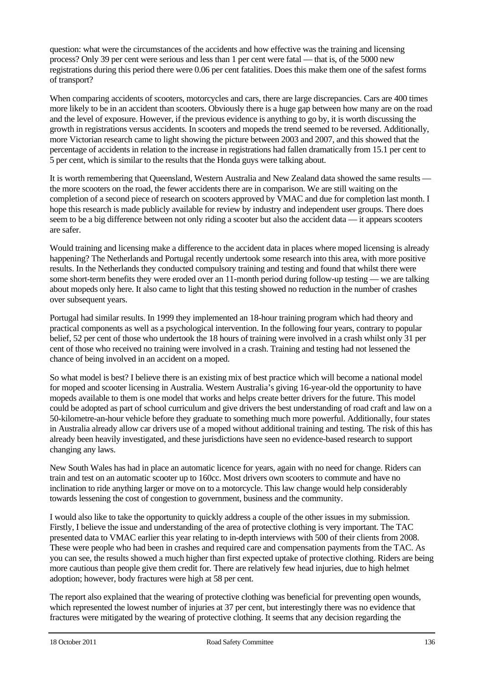question: what were the circumstances of the accidents and how effective was the training and licensing process? Only 39 per cent were serious and less than 1 per cent were fatal — that is, of the 5000 new registrations during this period there were 0.06 per cent fatalities. Does this make them one of the safest forms of transport?

When comparing accidents of scooters, motorcycles and cars, there are large discrepancies. Cars are 400 times more likely to be in an accident than scooters. Obviously there is a huge gap between how many are on the road and the level of exposure. However, if the previous evidence is anything to go by, it is worth discussing the growth in registrations versus accidents. In scooters and mopeds the trend seemed to be reversed. Additionally, more Victorian research came to light showing the picture between 2003 and 2007, and this showed that the percentage of accidents in relation to the increase in registrations had fallen dramatically from 15.1 per cent to 5 per cent, which is similar to the results that the Honda guys were talking about.

It is worth remembering that Queensland, Western Australia and New Zealand data showed the same results the more scooters on the road, the fewer accidents there are in comparison. We are still waiting on the completion of a second piece of research on scooters approved by VMAC and due for completion last month. I hope this research is made publicly available for review by industry and independent user groups. There does seem to be a big difference between not only riding a scooter but also the accident data — it appears scooters are safer.

Would training and licensing make a difference to the accident data in places where moped licensing is already happening? The Netherlands and Portugal recently undertook some research into this area, with more positive results. In the Netherlands they conducted compulsory training and testing and found that whilst there were some short-term benefits they were eroded over an 11-month period during follow-up testing — we are talking about mopeds only here. It also came to light that this testing showed no reduction in the number of crashes over subsequent years.

Portugal had similar results. In 1999 they implemented an 18-hour training program which had theory and practical components as well as a psychological intervention. In the following four years, contrary to popular belief, 52 per cent of those who undertook the 18 hours of training were involved in a crash whilst only 31 per cent of those who received no training were involved in a crash. Training and testing had not lessened the chance of being involved in an accident on a moped.

So what model is best? I believe there is an existing mix of best practice which will become a national model for moped and scooter licensing in Australia. Western Australia's giving 16-year-old the opportunity to have mopeds available to them is one model that works and helps create better drivers for the future. This model could be adopted as part of school curriculum and give drivers the best understanding of road craft and law on a 50-kilometre-an-hour vehicle before they graduate to something much more powerful. Additionally, four states in Australia already allow car drivers use of a moped without additional training and testing. The risk of this has already been heavily investigated, and these jurisdictions have seen no evidence-based research to support changing any laws.

New South Wales has had in place an automatic licence for years, again with no need for change. Riders can train and test on an automatic scooter up to 160cc. Most drivers own scooters to commute and have no inclination to ride anything larger or move on to a motorcycle. This law change would help considerably towards lessening the cost of congestion to government, business and the community.

I would also like to take the opportunity to quickly address a couple of the other issues in my submission. Firstly, I believe the issue and understanding of the area of protective clothing is very important. The TAC presented data to VMAC earlier this year relating to in-depth interviews with 500 of their clients from 2008. These were people who had been in crashes and required care and compensation payments from the TAC. As you can see, the results showed a much higher than first expected uptake of protective clothing. Riders are being more cautious than people give them credit for. There are relatively few head injuries, due to high helmet adoption; however, body fractures were high at 58 per cent.

The report also explained that the wearing of protective clothing was beneficial for preventing open wounds, which represented the lowest number of injuries at 37 per cent, but interestingly there was no evidence that fractures were mitigated by the wearing of protective clothing. It seems that any decision regarding the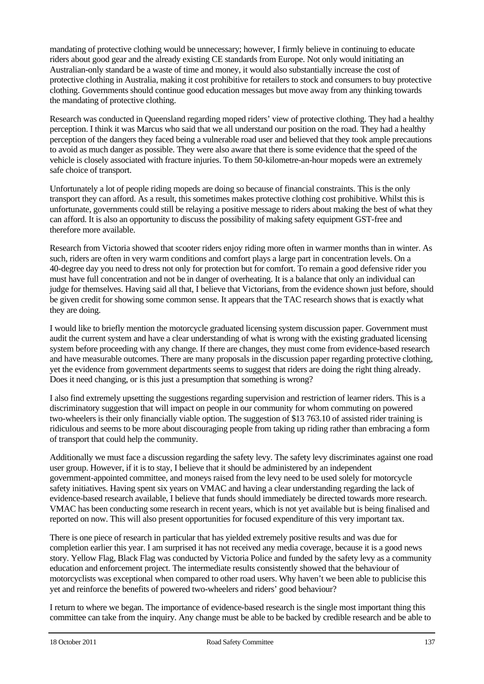mandating of protective clothing would be unnecessary; however, I firmly believe in continuing to educate riders about good gear and the already existing CE standards from Europe. Not only would initiating an Australian-only standard be a waste of time and money, it would also substantially increase the cost of protective clothing in Australia, making it cost prohibitive for retailers to stock and consumers to buy protective clothing. Governments should continue good education messages but move away from any thinking towards the mandating of protective clothing.

Research was conducted in Queensland regarding moped riders' view of protective clothing. They had a healthy perception. I think it was Marcus who said that we all understand our position on the road. They had a healthy perception of the dangers they faced being a vulnerable road user and believed that they took ample precautions to avoid as much danger as possible. They were also aware that there is some evidence that the speed of the vehicle is closely associated with fracture injuries. To them 50-kilometre-an-hour mopeds were an extremely safe choice of transport.

Unfortunately a lot of people riding mopeds are doing so because of financial constraints. This is the only transport they can afford. As a result, this sometimes makes protective clothing cost prohibitive. Whilst this is unfortunate, governments could still be relaying a positive message to riders about making the best of what they can afford. It is also an opportunity to discuss the possibility of making safety equipment GST-free and therefore more available.

Research from Victoria showed that scooter riders enjoy riding more often in warmer months than in winter. As such, riders are often in very warm conditions and comfort plays a large part in concentration levels. On a 40-degree day you need to dress not only for protection but for comfort. To remain a good defensive rider you must have full concentration and not be in danger of overheating. It is a balance that only an individual can judge for themselves. Having said all that, I believe that Victorians, from the evidence shown just before, should be given credit for showing some common sense. It appears that the TAC research shows that is exactly what they are doing.

I would like to briefly mention the motorcycle graduated licensing system discussion paper. Government must audit the current system and have a clear understanding of what is wrong with the existing graduated licensing system before proceeding with any change. If there are changes, they must come from evidence-based research and have measurable outcomes. There are many proposals in the discussion paper regarding protective clothing, yet the evidence from government departments seems to suggest that riders are doing the right thing already. Does it need changing, or is this just a presumption that something is wrong?

I also find extremely upsetting the suggestions regarding supervision and restriction of learner riders. This is a discriminatory suggestion that will impact on people in our community for whom commuting on powered two-wheelers is their only financially viable option. The suggestion of \$13 763.10 of assisted rider training is ridiculous and seems to be more about discouraging people from taking up riding rather than embracing a form of transport that could help the community.

Additionally we must face a discussion regarding the safety levy. The safety levy discriminates against one road user group. However, if it is to stay, I believe that it should be administered by an independent government-appointed committee, and moneys raised from the levy need to be used solely for motorcycle safety initiatives. Having spent six years on VMAC and having a clear understanding regarding the lack of evidence-based research available, I believe that funds should immediately be directed towards more research. VMAC has been conducting some research in recent years, which is not yet available but is being finalised and reported on now. This will also present opportunities for focused expenditure of this very important tax.

There is one piece of research in particular that has yielded extremely positive results and was due for completion earlier this year. I am surprised it has not received any media coverage, because it is a good news story. Yellow Flag, Black Flag was conducted by Victoria Police and funded by the safety levy as a community education and enforcement project. The intermediate results consistently showed that the behaviour of motorcyclists was exceptional when compared to other road users. Why haven't we been able to publicise this yet and reinforce the benefits of powered two-wheelers and riders' good behaviour?

I return to where we began. The importance of evidence-based research is the single most important thing this committee can take from the inquiry. Any change must be able to be backed by credible research and be able to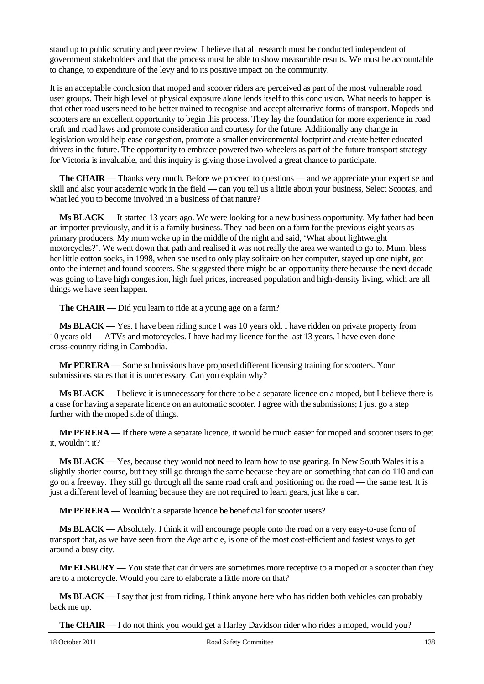stand up to public scrutiny and peer review. I believe that all research must be conducted independent of government stakeholders and that the process must be able to show measurable results. We must be accountable to change, to expenditure of the levy and to its positive impact on the community.

It is an acceptable conclusion that moped and scooter riders are perceived as part of the most vulnerable road user groups. Their high level of physical exposure alone lends itself to this conclusion. What needs to happen is that other road users need to be better trained to recognise and accept alternative forms of transport. Mopeds and scooters are an excellent opportunity to begin this process. They lay the foundation for more experience in road craft and road laws and promote consideration and courtesy for the future. Additionally any change in legislation would help ease congestion, promote a smaller environmental footprint and create better educated drivers in the future. The opportunity to embrace powered two-wheelers as part of the future transport strategy for Victoria is invaluable, and this inquiry is giving those involved a great chance to participate.

**The CHAIR** — Thanks very much. Before we proceed to questions — and we appreciate your expertise and skill and also your academic work in the field — can you tell us a little about your business, Select Scootas, and what led you to become involved in a business of that nature?

**Ms BLACK** — It started 13 years ago. We were looking for a new business opportunity. My father had been an importer previously, and it is a family business. They had been on a farm for the previous eight years as primary producers. My mum woke up in the middle of the night and said, 'What about lightweight motorcycles?'. We went down that path and realised it was not really the area we wanted to go to. Mum, bless her little cotton socks, in 1998, when she used to only play solitaire on her computer, stayed up one night, got onto the internet and found scooters. She suggested there might be an opportunity there because the next decade was going to have high congestion, high fuel prices, increased population and high-density living, which are all things we have seen happen.

**The CHAIR** — Did you learn to ride at a young age on a farm?

**Ms BLACK** — Yes. I have been riding since I was 10 years old. I have ridden on private property from 10 years old — ATVs and motorcycles. I have had my licence for the last 13 years. I have even done cross-country riding in Cambodia.

**Mr PERERA** — Some submissions have proposed different licensing training for scooters. Your submissions states that it is unnecessary. Can you explain why?

**Ms BLACK** — I believe it is unnecessary for there to be a separate licence on a moped, but I believe there is a case for having a separate licence on an automatic scooter. I agree with the submissions; I just go a step further with the moped side of things.

**Mr PERERA** — If there were a separate licence, it would be much easier for moped and scooter users to get it, wouldn't it?

**Ms BLACK** — Yes, because they would not need to learn how to use gearing. In New South Wales it is a slightly shorter course, but they still go through the same because they are on something that can do 110 and can go on a freeway. They still go through all the same road craft and positioning on the road — the same test. It is just a different level of learning because they are not required to learn gears, just like a car.

**Mr PERERA** — Wouldn't a separate licence be beneficial for scooter users?

**Ms BLACK** — Absolutely. I think it will encourage people onto the road on a very easy-to-use form of transport that, as we have seen from the *Age* article, is one of the most cost-efficient and fastest ways to get around a busy city.

**Mr ELSBURY** — You state that car drivers are sometimes more receptive to a moped or a scooter than they are to a motorcycle. Would you care to elaborate a little more on that?

**Ms BLACK** — I say that just from riding. I think anyone here who has ridden both vehicles can probably back me up.

**The CHAIR** — I do not think you would get a Harley Davidson rider who rides a moped, would you?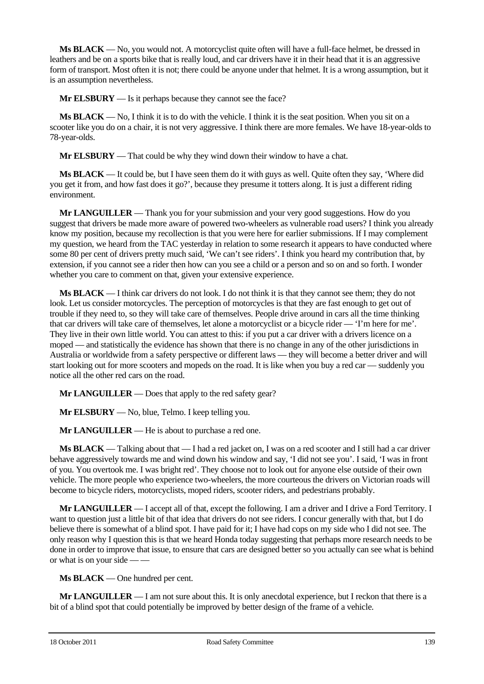**Ms BLACK** — No, you would not. A motorcyclist quite often will have a full-face helmet, be dressed in leathers and be on a sports bike that is really loud, and car drivers have it in their head that it is an aggressive form of transport. Most often it is not; there could be anyone under that helmet. It is a wrong assumption, but it is an assumption nevertheless.

**Mr ELSBURY** — Is it perhaps because they cannot see the face?

**Ms BLACK** — No, I think it is to do with the vehicle. I think it is the seat position. When you sit on a scooter like you do on a chair, it is not very aggressive. I think there are more females. We have 18-year-olds to 78-year-olds.

**Mr ELSBURY** — That could be why they wind down their window to have a chat.

**Ms BLACK** — It could be, but I have seen them do it with guys as well. Quite often they say, 'Where did you get it from, and how fast does it go?', because they presume it totters along. It is just a different riding environment.

**Mr LANGUILLER** — Thank you for your submission and your very good suggestions. How do you suggest that drivers be made more aware of powered two-wheelers as vulnerable road users? I think you already know my position, because my recollection is that you were here for earlier submissions. If I may complement my question, we heard from the TAC yesterday in relation to some research it appears to have conducted where some 80 per cent of drivers pretty much said, 'We can't see riders'. I think you heard my contribution that, by extension, if you cannot see a rider then how can you see a child or a person and so on and so forth. I wonder whether you care to comment on that, given your extensive experience.

**Ms BLACK** — I think car drivers do not look. I do not think it is that they cannot see them; they do not look. Let us consider motorcycles. The perception of motorcycles is that they are fast enough to get out of trouble if they need to, so they will take care of themselves. People drive around in cars all the time thinking that car drivers will take care of themselves, let alone a motorcyclist or a bicycle rider — 'I'm here for me'. They live in their own little world. You can attest to this: if you put a car driver with a drivers licence on a moped — and statistically the evidence has shown that there is no change in any of the other jurisdictions in Australia or worldwide from a safety perspective or different laws — they will become a better driver and will start looking out for more scooters and mopeds on the road. It is like when you buy a red car — suddenly you notice all the other red cars on the road.

**Mr LANGUILLER** — Does that apply to the red safety gear?

**Mr ELSBURY** — No, blue, Telmo. I keep telling you.

**Mr LANGUILLER** — He is about to purchase a red one.

**Ms BLACK** — Talking about that — I had a red jacket on, I was on a red scooter and I still had a car driver behave aggressively towards me and wind down his window and say, 'I did not see you'. I said, 'I was in front of you. You overtook me. I was bright red'. They choose not to look out for anyone else outside of their own vehicle. The more people who experience two-wheelers, the more courteous the drivers on Victorian roads will become to bicycle riders, motorcyclists, moped riders, scooter riders, and pedestrians probably.

**Mr LANGUILLER** — I accept all of that, except the following. I am a driver and I drive a Ford Territory. I want to question just a little bit of that idea that drivers do not see riders. I concur generally with that, but I do believe there is somewhat of a blind spot. I have paid for it; I have had cops on my side who I did not see. The only reason why I question this is that we heard Honda today suggesting that perhaps more research needs to be done in order to improve that issue, to ensure that cars are designed better so you actually can see what is behind or what is on your side — —

**Ms BLACK** — One hundred per cent.

**Mr LANGUILLER** — I am not sure about this. It is only anecdotal experience, but I reckon that there is a bit of a blind spot that could potentially be improved by better design of the frame of a vehicle.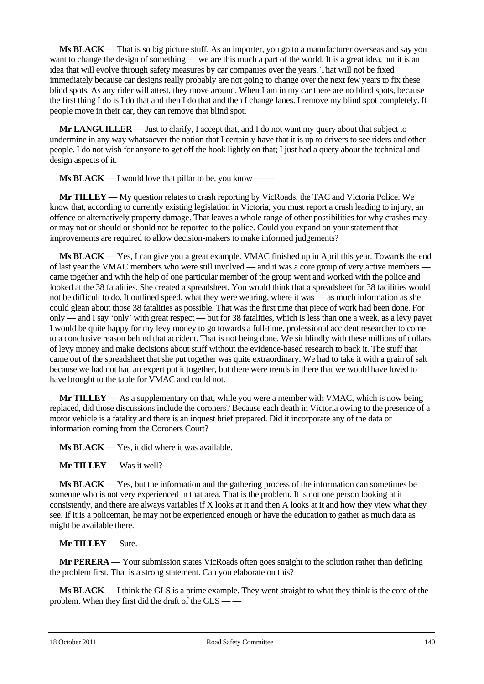**Ms BLACK** — That is so big picture stuff. As an importer, you go to a manufacturer overseas and say you want to change the design of something — we are this much a part of the world. It is a great idea, but it is an idea that will evolve through safety measures by car companies over the years. That will not be fixed immediately because car designs really probably are not going to change over the next few years to fix these blind spots. As any rider will attest, they move around. When I am in my car there are no blind spots, because the first thing I do is I do that and then I do that and then I change lanes. I remove my blind spot completely. If people move in their car, they can remove that blind spot.

**Mr LANGUILLER** — Just to clarify, I accept that, and I do not want my query about that subject to undermine in any way whatsoever the notion that I certainly have that it is up to drivers to see riders and other people. I do not wish for anyone to get off the hook lightly on that; I just had a query about the technical and design aspects of it.

**Ms BLACK** — I would love that pillar to be, you know — —

**Mr TILLEY** — My question relates to crash reporting by VicRoads, the TAC and Victoria Police. We know that, according to currently existing legislation in Victoria, you must report a crash leading to injury, an offence or alternatively property damage. That leaves a whole range of other possibilities for why crashes may or may not or should or should not be reported to the police. Could you expand on your statement that improvements are required to allow decision-makers to make informed judgements?

**Ms BLACK** — Yes, I can give you a great example. VMAC finished up in April this year. Towards the end of last year the VMAC members who were still involved — and it was a core group of very active members came together and with the help of one particular member of the group went and worked with the police and looked at the 38 fatalities. She created a spreadsheet. You would think that a spreadsheet for 38 facilities would not be difficult to do. It outlined speed, what they were wearing, where it was — as much information as she could glean about those 38 fatalities as possible. That was the first time that piece of work had been done. For only — and I say 'only' with great respect — but for 38 fatalities, which is less than one a week, as a levy payer I would be quite happy for my levy money to go towards a full-time, professional accident researcher to come to a conclusive reason behind that accident. That is not being done. We sit blindly with these millions of dollars of levy money and make decisions about stuff without the evidence-based research to back it. The stuff that came out of the spreadsheet that she put together was quite extraordinary. We had to take it with a grain of salt because we had not had an expert put it together, but there were trends in there that we would have loved to have brought to the table for VMAC and could not.

**Mr TILLEY** — As a supplementary on that, while you were a member with VMAC, which is now being replaced, did those discussions include the coroners? Because each death in Victoria owing to the presence of a motor vehicle is a fatality and there is an inquest brief prepared. Did it incorporate any of the data or information coming from the Coroners Court?

**Ms BLACK** — Yes, it did where it was available.

**Mr TILLEY** — Was it well?

**Ms BLACK** — Yes, but the information and the gathering process of the information can sometimes be someone who is not very experienced in that area. That is the problem. It is not one person looking at it consistently, and there are always variables if X looks at it and then A looks at it and how they view what they see. If it is a policeman, he may not be experienced enough or have the education to gather as much data as might be available there.

**Mr TILLEY** — Sure.

**Mr PERERA** — Your submission states VicRoads often goes straight to the solution rather than defining the problem first. That is a strong statement. Can you elaborate on this?

**Ms BLACK** — I think the GLS is a prime example. They went straight to what they think is the core of the problem. When they first did the draft of the GLS -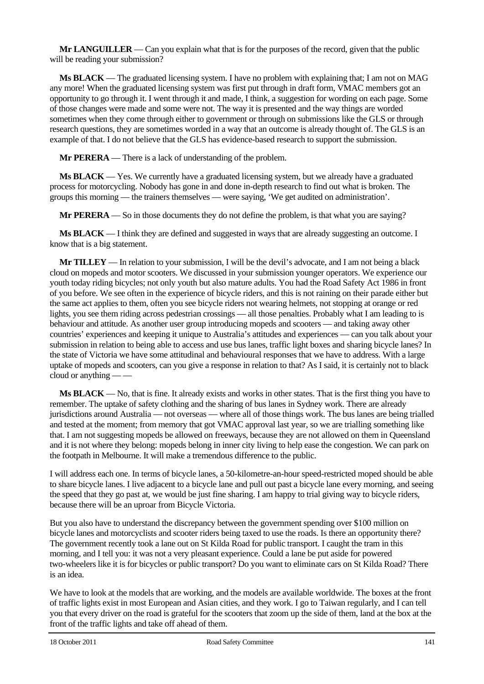**Mr LANGUILLER** — Can you explain what that is for the purposes of the record, given that the public will be reading your submission?

**Ms BLACK** — The graduated licensing system. I have no problem with explaining that; I am not on MAG any more! When the graduated licensing system was first put through in draft form, VMAC members got an opportunity to go through it. I went through it and made, I think, a suggestion for wording on each page. Some of those changes were made and some were not. The way it is presented and the way things are worded sometimes when they come through either to government or through on submissions like the GLS or through research questions, they are sometimes worded in a way that an outcome is already thought of. The GLS is an example of that. I do not believe that the GLS has evidence-based research to support the submission.

**Mr PERERA** — There is a lack of understanding of the problem.

**Ms BLACK** — Yes. We currently have a graduated licensing system, but we already have a graduated process for motorcycling. Nobody has gone in and done in-depth research to find out what is broken. The groups this morning — the trainers themselves — were saying, 'We get audited on administration'.

**Mr PERERA** — So in those documents they do not define the problem, is that what you are saying?

**Ms BLACK** — I think they are defined and suggested in ways that are already suggesting an outcome. I know that is a big statement.

**Mr TILLEY** — In relation to your submission, I will be the devil's advocate, and I am not being a black cloud on mopeds and motor scooters. We discussed in your submission younger operators. We experience our youth today riding bicycles; not only youth but also mature adults. You had the Road Safety Act 1986 in front of you before. We see often in the experience of bicycle riders, and this is not raining on their parade either but the same act applies to them, often you see bicycle riders not wearing helmets, not stopping at orange or red lights, you see them riding across pedestrian crossings — all those penalties. Probably what I am leading to is behaviour and attitude. As another user group introducing mopeds and scooters — and taking away other countries' experiences and keeping it unique to Australia's attitudes and experiences — can you talk about your submission in relation to being able to access and use bus lanes, traffic light boxes and sharing bicycle lanes? In the state of Victoria we have some attitudinal and behavioural responses that we have to address. With a large uptake of mopeds and scooters, can you give a response in relation to that? As I said, it is certainly not to black cloud or anything — —

**Ms BLACK** — No, that is fine. It already exists and works in other states. That is the first thing you have to remember. The uptake of safety clothing and the sharing of bus lanes in Sydney work. There are already jurisdictions around Australia — not overseas — where all of those things work. The bus lanes are being trialled and tested at the moment; from memory that got VMAC approval last year, so we are trialling something like that. I am not suggesting mopeds be allowed on freeways, because they are not allowed on them in Queensland and it is not where they belong: mopeds belong in inner city living to help ease the congestion. We can park on the footpath in Melbourne. It will make a tremendous difference to the public.

I will address each one. In terms of bicycle lanes, a 50-kilometre-an-hour speed-restricted moped should be able to share bicycle lanes. I live adjacent to a bicycle lane and pull out past a bicycle lane every morning, and seeing the speed that they go past at, we would be just fine sharing. I am happy to trial giving way to bicycle riders, because there will be an uproar from Bicycle Victoria.

But you also have to understand the discrepancy between the government spending over \$100 million on bicycle lanes and motorcyclists and scooter riders being taxed to use the roads. Is there an opportunity there? The government recently took a lane out on St Kilda Road for public transport. I caught the tram in this morning, and I tell you: it was not a very pleasant experience. Could a lane be put aside for powered two-wheelers like it is for bicycles or public transport? Do you want to eliminate cars on St Kilda Road? There is an idea.

We have to look at the models that are working, and the models are available worldwide. The boxes at the front of traffic lights exist in most European and Asian cities, and they work. I go to Taiwan regularly, and I can tell you that every driver on the road is grateful for the scooters that zoom up the side of them, land at the box at the front of the traffic lights and take off ahead of them.